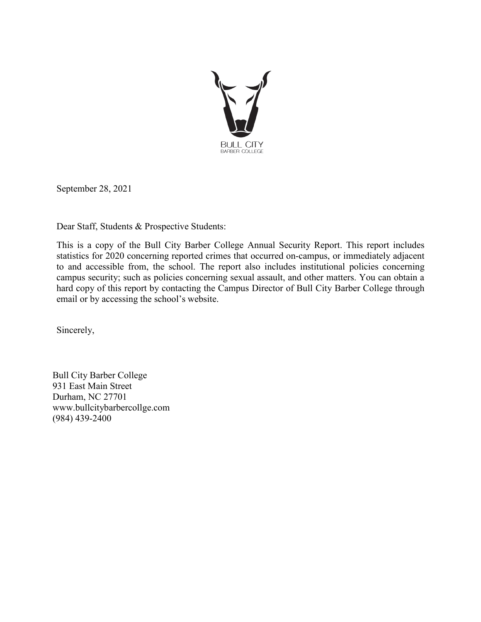

September 28, 2021

Dear Staff, Students & Prospective Students:

This is a copy of the Bull City Barber College Annual Security Report. This report includes statistics for 2020 concerning reported crimes that occurred on-campus, or immediately adjacent to and accessible from, the school. The report also includes institutional policies concerning campus security; such as policies concerning sexual assault, and other matters. You can obtain a hard copy of this report by contacting the Campus Director of Bull City Barber College through email or by accessing the school's website.

Sincerely,

Bull City Barber College 931 East Main Street Durham, NC 27701 www.bullcitybarbercollge.com (984) 439-2400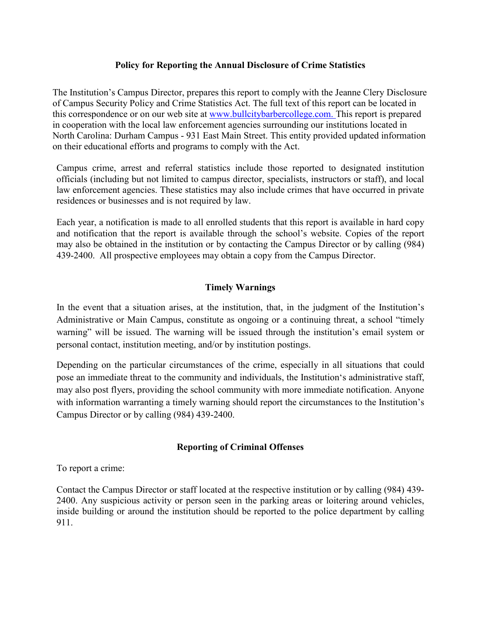### **Policy for Reporting the Annual Disclosure of Crime Statistics**

The Institution's Campus Director, prepares this report to comply with the Jeanne Clery Disclosure of Campus Security Policy and Crime Statistics Act. The full text of this report can be located in this correspondence or on our web site at www.bullcitybarbercollege.com. This report is prepared in cooperation with the local law enforcement agencies surrounding our institutions located in North Carolina: Durham Campus - 931 East Main Street. This entity provided updated information on their educational efforts and programs to comply with the Act.

Campus crime, arrest and referral statistics include those reported to designated institution officials (including but not limited to campus director, specialists, instructors or staff), and local law enforcement agencies. These statistics may also include crimes that have occurred in private residences or businesses and is not required by law.

Each year, a notification is made to all enrolled students that this report is available in hard copy and notification that the report is available through the school's website. Copies of the report may also be obtained in the institution or by contacting the Campus Director or by calling (984) 439-2400. All prospective employees may obtain a copy from the Campus Director.

### **Timely Warnings**

In the event that a situation arises, at the institution, that, in the judgment of the Institution's Administrative or Main Campus, constitute as ongoing or a continuing threat, a school "timely warning" will be issued. The warning will be issued through the institution's email system or personal contact, institution meeting, and/or by institution postings.

Depending on the particular circumstances of the crime, especially in all situations that could pose an immediate threat to the community and individuals, the Institution's administrative staff, may also post flyers, providing the school community with more immediate notification. Anyone with information warranting a timely warning should report the circumstances to the Institution's Campus Director or by calling (984) 439-2400.

#### **Reporting of Criminal Offenses**

To report a crime:

Contact the Campus Director or staff located at the respective institution or by calling (984) 439- 2400. Any suspicious activity or person seen in the parking areas or loitering around vehicles, inside building or around the institution should be reported to the police department by calling 911.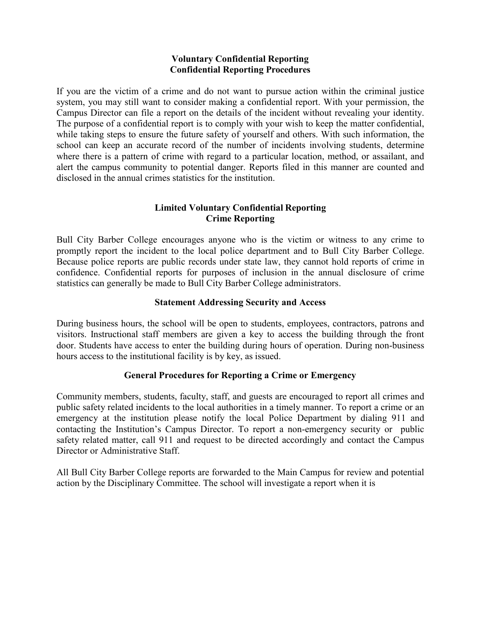## **Voluntary Confidential Reporting Confidential Reporting Procedures**

If you are the victim of a crime and do not want to pursue action within the criminal justice system, you may still want to consider making a confidential report. With your permission, the Campus Director can file a report on the details of the incident without revealing your identity. The purpose of a confidential report is to comply with your wish to keep the matter confidential, while taking steps to ensure the future safety of yourself and others. With such information, the school can keep an accurate record of the number of incidents involving students, determine where there is a pattern of crime with regard to a particular location, method, or assailant, and alert the campus community to potential danger. Reports filed in this manner are counted and disclosed in the annual crimes statistics for the institution.

# **Limited Voluntary Confidential Reporting Crime Reporting**

Bull City Barber College encourages anyone who is the victim or witness to any crime to promptly report the incident to the local police department and to Bull City Barber College. Because police reports are public records under state law, they cannot hold reports of crime in confidence. Confidential reports for purposes of inclusion in the annual disclosure of crime statistics can generally be made to Bull City Barber College administrators.

# **Statement Addressing Security and Access**

During business hours, the school will be open to students, employees, contractors, patrons and visitors. Instructional staff members are given a key to access the building through the front door. Students have access to enter the building during hours of operation. During non-business hours access to the institutional facility is by key, as issued.

# **General Procedures for Reporting a Crime or Emergency**

Community members, students, faculty, staff, and guests are encouraged to report all crimes and public safety related incidents to the local authorities in a timely manner. To report a crime or an emergency at the institution please notify the local Police Department by dialing 911 and contacting the Institution's Campus Director. To report a non-emergency security or public safety related matter, call 911 and request to be directed accordingly and contact the Campus Director or Administrative Staff.

All Bull City Barber College reports are forwarded to the Main Campus for review and potential action by the Disciplinary Committee. The school will investigate a report when it is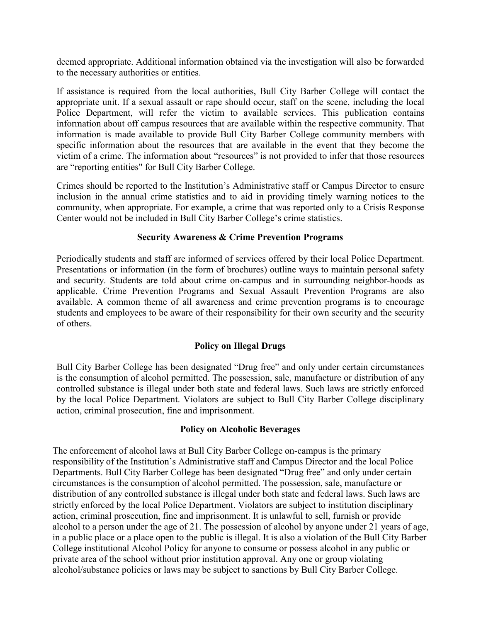deemed appropriate. Additional information obtained via the investigation will also be forwarded to the necessary authorities or entities.

If assistance is required from the local authorities, Bull City Barber College will contact the appropriate unit. If a sexual assault or rape should occur, staff on the scene, including the local Police Department, will refer the victim to available services. This publication contains information about off campus resources that are available within the respective community. That information is made available to provide Bull City Barber College community members with specific information about the resources that are available in the event that they become the victim of a crime. The information about "resources" is not provided to infer that those resources are "reporting entities" for Bull City Barber College.

Crimes should be reported to the Institution's Administrative staff or Campus Director to ensure inclusion in the annual crime statistics and to aid in providing timely warning notices to the community, when appropriate. For example, a crime that was reported only to a Crisis Response Center would not be included in Bull City Barber College's crime statistics.

### **Security Awareness & Crime Prevention Programs**

Periodically students and staff are informed of services offered by their local Police Department. Presentations or information (in the form of brochures) outline ways to maintain personal safety and security. Students are told about crime on-campus and in surrounding neighbor-hoods as applicable. Crime Prevention Programs and Sexual Assault Prevention Programs are also available. A common theme of all awareness and crime prevention programs is to encourage students and employees to be aware of their responsibility for their own security and the security of others.

# **Policy on Illegal Drugs**

Bull City Barber College has been designated "Drug free" and only under certain circumstances is the consumption of alcohol permitted. The possession, sale, manufacture or distribution of any controlled substance is illegal under both state and federal laws. Such laws are strictly enforced by the local Police Department. Violators are subject to Bull City Barber College disciplinary action, criminal prosecution, fine and imprisonment.

#### **Policy on Alcoholic Beverages**

The enforcement of alcohol laws at Bull City Barber College on-campus is the primary responsibility of the Institution's Administrative staff and Campus Director and the local Police Departments. Bull City Barber College has been designated "Drug free" and only under certain circumstances is the consumption of alcohol permitted. The possession, sale, manufacture or distribution of any controlled substance is illegal under both state and federal laws. Such laws are strictly enforced by the local Police Department. Violators are subject to institution disciplinary action, criminal prosecution, fine and imprisonment. It is unlawful to sell, furnish or provide alcohol to a person under the age of 21. The possession of alcohol by anyone under 21 years of age, in a public place or a place open to the public is illegal. It is also a violation of the Bull City Barber College institutional Alcohol Policy for anyone to consume or possess alcohol in any public or private area of the school without prior institution approval. Any one or group violating alcohol/substance policies or laws may be subject to sanctions by Bull City Barber College.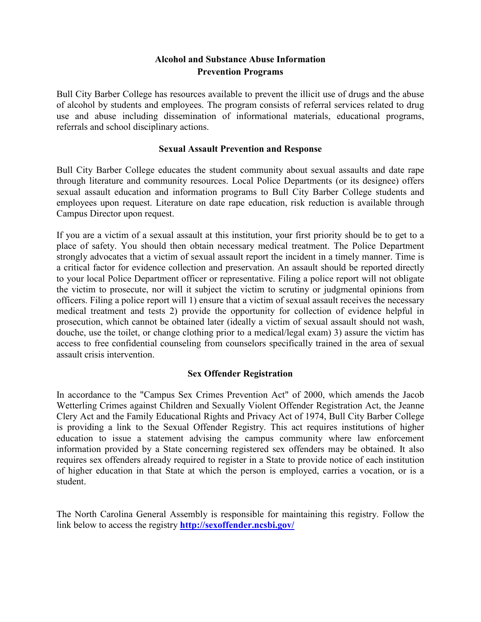# **Alcohol and Substance Abuse Information Prevention Programs**

Bull City Barber College has resources available to prevent the illicit use of drugs and the abuse of alcohol by students and employees. The program consists of referral services related to drug use and abuse including dissemination of informational materials, educational programs, referrals and school disciplinary actions.

#### **Sexual Assault Prevention and Response**

Bull City Barber College educates the student community about sexual assaults and date rape through literature and community resources. Local Police Departments (or its designee) offers sexual assault education and information programs to Bull City Barber College students and employees upon request. Literature on date rape education, risk reduction is available through Campus Director upon request.

If you are a victim of a sexual assault at this institution, your first priority should be to get to a place of safety. You should then obtain necessary medical treatment. The Police Department strongly advocates that a victim of sexual assault report the incident in a timely manner. Time is a critical factor for evidence collection and preservation. An assault should be reported directly to your local Police Department officer or representative. Filing a police report will not obligate the victim to prosecute, nor will it subject the victim to scrutiny or judgmental opinions from officers. Filing a police report will 1) ensure that a victim of sexual assault receives the necessary medical treatment and tests 2) provide the opportunity for collection of evidence helpful in prosecution, which cannot be obtained later (ideally a victim of sexual assault should not wash, douche, use the toilet, or change clothing prior to a medical/legal exam) 3) assure the victim has access to free confidential counseling from counselors specifically trained in the area of sexual assault crisis intervention.

#### **Sex Offender Registration**

In accordance to the "Campus Sex Crimes Prevention Act" of 2000, which amends the Jacob Wetterling Crimes against Children and Sexually Violent Offender Registration Act, the Jeanne Clery Act and the Family Educational Rights and Privacy Act of 1974, Bull City Barber College is providing a link to the Sexual Offender Registry. This act requires institutions of higher education to issue a statement advising the campus community where law enforcement information provided by a State concerning registered sex offenders may be obtained. It also requires sex offenders already required to register in a State to provide notice of each institution of higher education in that State at which the person is employed, carries a vocation, or is a student.

The North Carolina General Assembly is responsible for maintaining this registry. Follow the link below to access the registry **<http://sexoffender.ncsbi.gov/>**